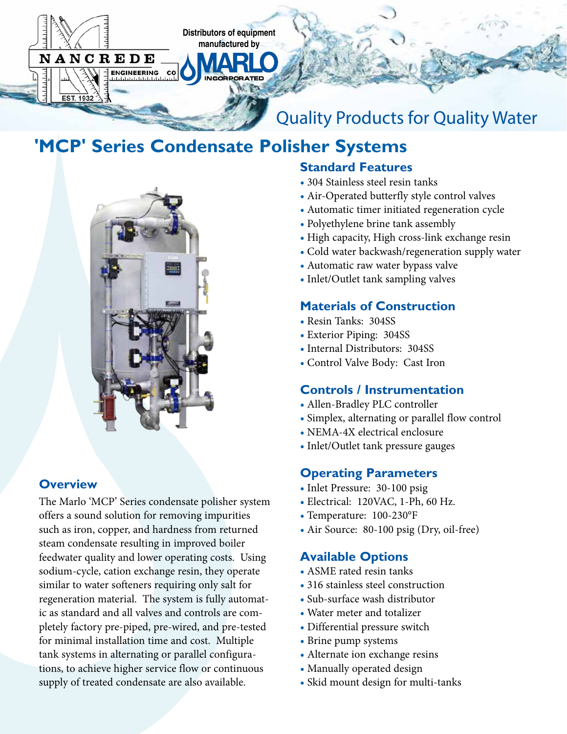

# **'MCP' Series Condensate Polisher Systems**



# **Overview**

The Marlo 'MCP' Series condensate polisher system offers a sound solution for removing impurities such as iron, copper, and hardness from returned steam condensate resulting in improved boiler feedwater quality and lower operating costs. Using sodium-cycle, cation exchange resin, they operate similar to water softeners requiring only salt for regeneration material. The system is fully automatic as standard and all valves and controls are completely factory pre-piped, pre-wired, and pre-tested for minimal installation time and cost. Multiple tank systems in alternating or parallel configurations, to achieve higher service flow or continuous supply of treated condensate are also available.

# **Standard Features**

- 304 Stainless steel resin tanks
- Air-Operated butterfly style control valves
- Automatic timer initiated regeneration cycle
- Polyethylene brine tank assembly
- High capacity, High cross-link exchange resin
- Cold water backwash/regeneration supply water
- Automatic raw water bypass valve
- Inlet/Outlet tank sampling valves

#### **Materials of Construction**

- Resin Tanks: 304SS
- Exterior Piping: 304SS
- Internal Distributors: 304SS
- Control Valve Body: Cast Iron

#### **Controls / Instrumentation**

- Allen-Bradley PLC controller
- Simplex, alternating or parallel flow control
- NEMA-4X electrical enclosure
- Inlet/Outlet tank pressure gauges

#### **Operating Parameters**

- Inlet Pressure: 30-100 psig
- Electrical: 120VAC, 1-Ph, 60 Hz.
- Temperature: 100-230°F
- Air Source: 80-100 psig (Dry, oil-free)

#### **Available Options**

- ASME rated resin tanks
- 316 stainless steel construction
- Sub-surface wash distributor
- Water meter and totalizer
- **•** Differential pressure switch
- **•** Brine pump systems
- **•** Alternate ion exchange resins
- **•** Manually operated design
- **•** Skid mount design for multi-tanks